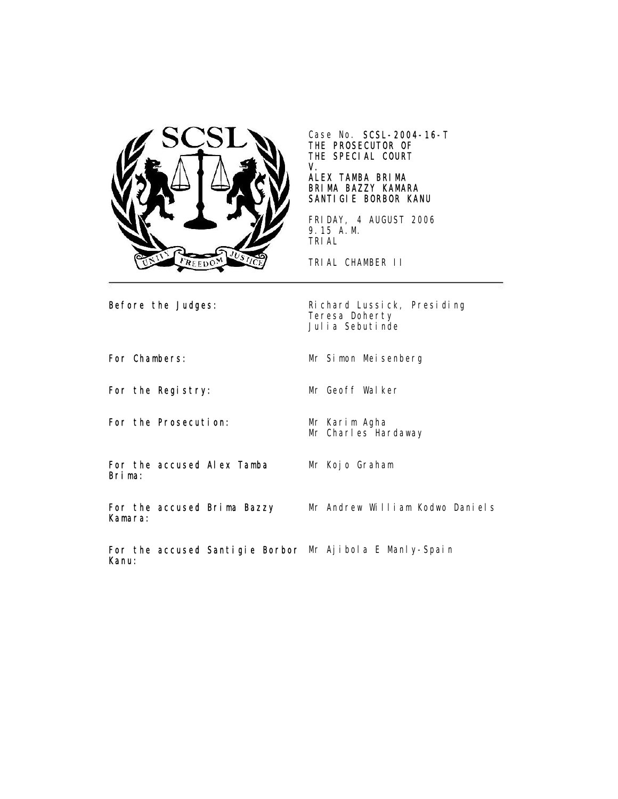

Case No. SCSL-2004-16-T THE PROSECUTOR OF THE SPECIAL COURT V.

# ALEX TAMBA BRIMA BRIMA BAZZY KAMARA SANTIGIE BORBOR KANU

FRIDAY, 4 AUGUST 2006 9.15 A.M. TRIAL

TRIAL CHAMBER II

Before the Judges: Richard Lussick, Presiding Teresa Doherty Julia Sebutinde

For Chambers: Mr Simon Meisenberg

For the Registry: Mr Geoff Walker

For the Prosecution: Mr Karim Agha

Mr Charles Hardaway

For the accused Alex Tamba Brima:

Mr Kojo Graham

For the accused Brima Bazzy Kamara: Mr Andrew William Kodwo Daniels

For the accused Santigie Borbor Mr Ajibola E Manly-SpainKanu: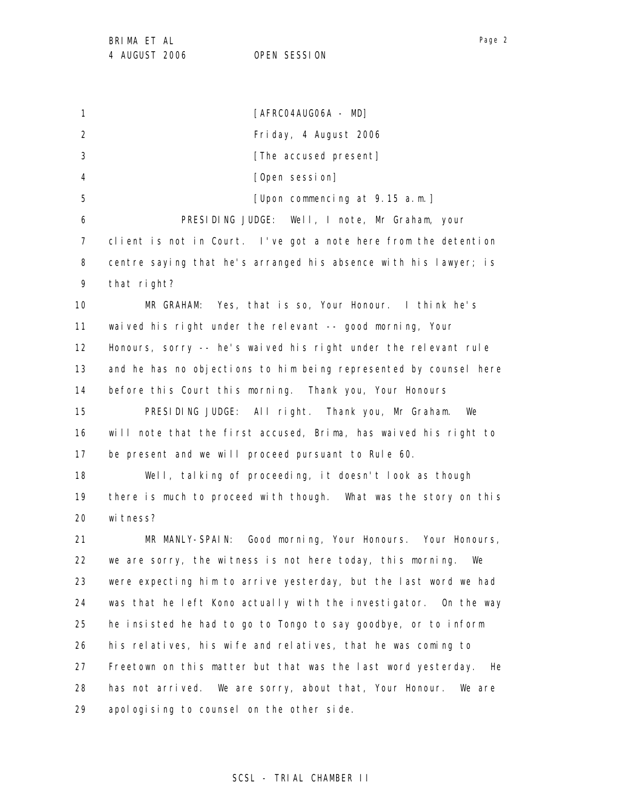1 2 3 4 5 6 7 8 9 10 11 12 13 14 15 16 17 18 19 20 21 22 23 24 25 26 27 28 29 [AFRC04AUG06A - MD] Friday, 4 August 2006 [The accused present] [Open session] [Upon commencing at 9.15 a.m.] PRESIDING JUDGE: Well, I note, Mr Graham, your client is not in Court. I've got a note here from the detention centre saying that he's arranged his absence with his lawyer; is that right? MR GRAHAM: Yes, that is so, Your Honour. I think he's waived his right under the relevant -- good morning, Your Honours, sorry -- he's waived his right under the relevant rule and he has no objections to him being represented by counsel here before this Court this morning. Thank you, Your Honours PRESIDING JUDGE: All right. Thank you, Mr Graham. We will note that the first accused, Brima, has waived his right to be present and we will proceed pursuant to Rule 60. Well, talking of proceeding, it doesn't look as though there is much to proceed with though. What was the story on this witness? MR MANLY-SPAIN: Good morning, Your Honours. Your Honours, we are sorry, the witness is not here today, this morning. We were expecting him to arrive yesterday, but the last word we had was that he left Kono actually with the investigator. On the way he insisted he had to go to Tongo to say goodbye, or to inform his relatives, his wife and relatives, that he was coming to Freetown on this matter but that was the last word yesterday. He has not arrived. We are sorry, about that, Your Honour. We are apologising to counsel on the other side.

Page 2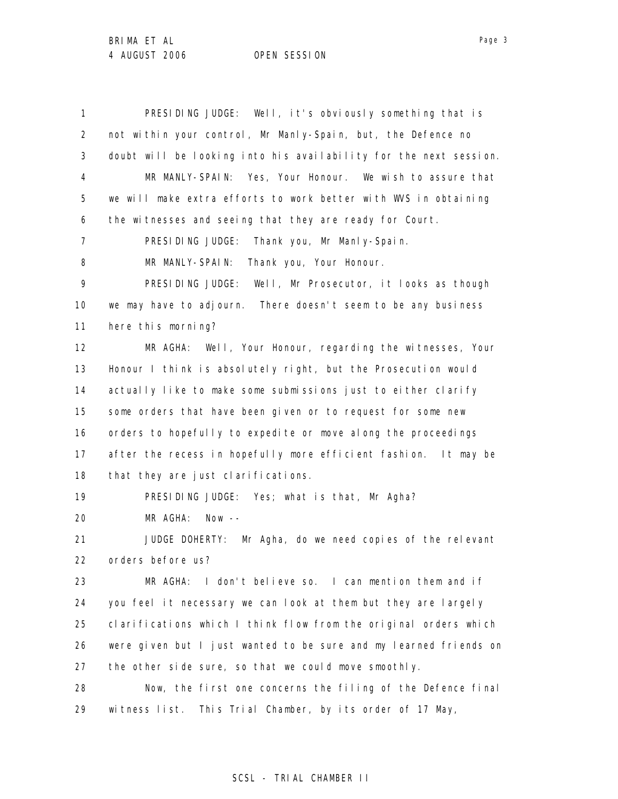1 2 3 4 5 6 7 8 9 10 11 12 13 14 15 16 17 18 19 20 21 22 23 24 25 26 27 28 29 PRESIDING JUDGE: Well, it's obviously something that is not within your control, Mr Manly-Spain, but, the Defence no doubt will be looking into his availability for the next session. MR MANLY-SPAIN: Yes, Your Honour. We wish to assure that we will make extra efforts to work better with WVS in obtaining the witnesses and seeing that they are ready for Court. PRESIDING JUDGE: Thank you, Mr Manly-Spain. MR MANLY-SPAIN: Thank you, Your Honour. PRESIDING JUDGE: Well, Mr Prosecutor, it looks as though we may have to adjourn. There doesn't seem to be any business here this morning? MR AGHA: Well, Your Honour, regarding the witnesses, Your Honour I think is absolutely right, but the Prosecution would actually like to make some submissions just to either clarify some orders that have been given or to request for some new orders to hopefully to expedite or move along the proceedings after the recess in hopefully more efficient fashion. It may be that they are just clarifications. PRESIDING JUDGE: Yes; what is that, Mr Agha? MR AGHA: Now -- JUDGE DOHERTY: Mr Agha, do we need copies of the relevant orders before us? MR AGHA: I don't believe so. I can mention them and if you feel it necessary we can look at them but they are largely clarifications which I think flow from the original orders which were given but I just wanted to be sure and my learned friends on the other side sure, so that we could move smoothly. Now, the first one concerns the filing of the Defence final witness list. This Trial Chamber, by its order of 17 May,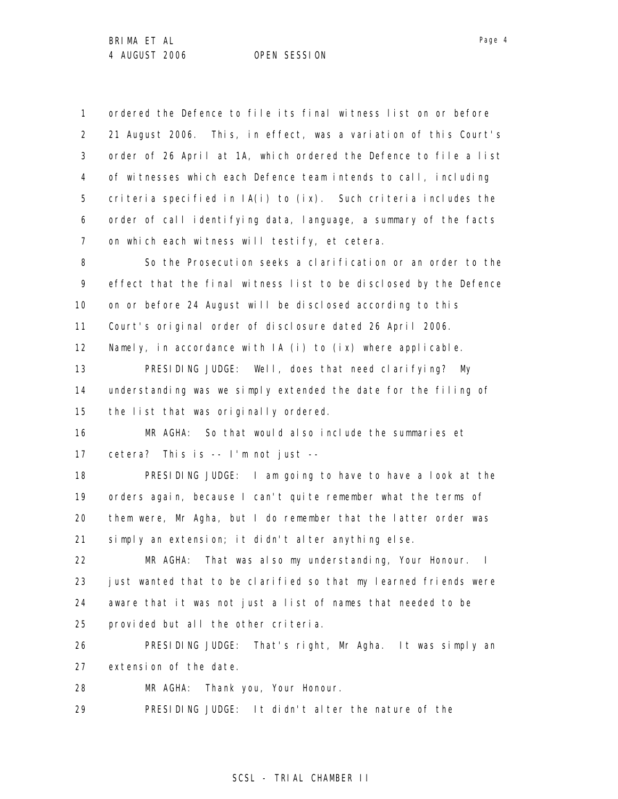1 2 3 4 5 6 7 8 9 10 11 12 13 14 15 16 17 18 19 20 21 22 23 24 25 26 27 28 29 ordered the Defence to file its final witness list on or before 21 August 2006. This, in effect, was a variation of this Court's order of 26 April at 1A, which ordered the Defence to file a list of witnesses which each Defence team intends to call, including criteria specified in  $IA(i)$  to  $(ix)$ . Such criteria includes the order of call identifying data, language, a summary of the facts on which each witness will testify, et cetera. So the Prosecution seeks a clarification or an order to the effect that the final witness list to be disclosed by the Defence on or before 24 August will be disclosed according to this Court's original order of disclosure dated 26 April 2006. Namely, in accordance with IA (i) to (ix) where applicable. PRESIDING JUDGE: Well, does that need clarifying? My understanding was we simply extended the date for the filing of the list that was originally ordered. MR AGHA: So that would also include the summaries et cetera? This is -- I'm not just -- PRESIDING JUDGE: I am going to have to have a look at the orders again, because I can't quite remember what the terms of them were, Mr Agha, but I do remember that the latter order was simply an extension; it didn't alter anything else. MR AGHA: That was also my understanding, Your Honour. I just wanted that to be clarified so that my learned friends were aware that it was not just a list of names that needed to be provided but all the other criteria. PRESIDING JUDGE: That's right, Mr Agha. It was simply an extension of the date. MR AGHA: Thank you, Your Honour. PRESIDING JUDGE: It didn't alter the nature of the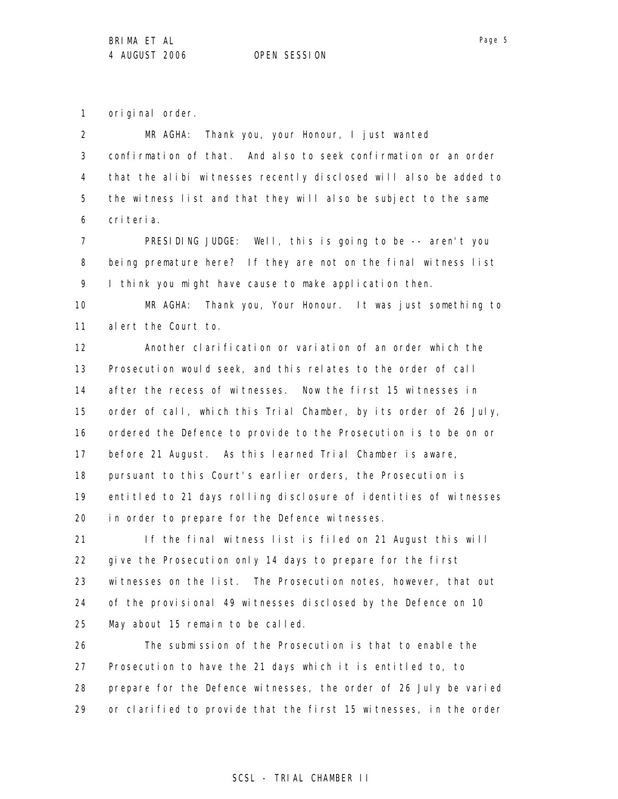1 original order.

2 3 4 5 6 MR AGHA: Thank you, your Honour, I just wanted confirmation of that. And also to seek confirmation or an order that the alibi witnesses recently disclosed will also be added to the witness list and that they will also be subject to the same criteria.

7 8 9 PRESIDING JUDGE: Well, this is going to be -- aren't you being premature here? If they are not on the final witness list I think you might have cause to make application then.

10 11 MR AGHA: Thank you, Your Honour. It was just something to alert the Court to.

12 13 14 15 16 17 18 19 20 Another clarification or variation of an order which the Prosecution would seek, and this relates to the order of call after the recess of witnesses. Now the first 15 witnesses in order of call, which this Trial Chamber, by its order of 26 July, ordered the Defence to provide to the Prosecution is to be on or before 21 August. As this learned Trial Chamber is aware, pursuant to this Court's earlier orders, the Prosecution is entitled to 21 days rolling disclosure of identities of witnesses in order to prepare for the Defence witnesses.

21 22 23 24 25 If the final witness list is filed on 21 August this will give the Prosecution only 14 days to prepare for the first witnesses on the list. The Prosecution notes, however, that out of the provisional 49 witnesses disclosed by the Defence on 10 May about 15 remain to be called.

26 27 28 29 The submission of the Prosecution is that to enable the Prosecution to have the 21 days which it is entitled to, to prepare for the Defence witnesses, the order of 26 July be varied or clarified to provide that the first 15 witnesses, in the order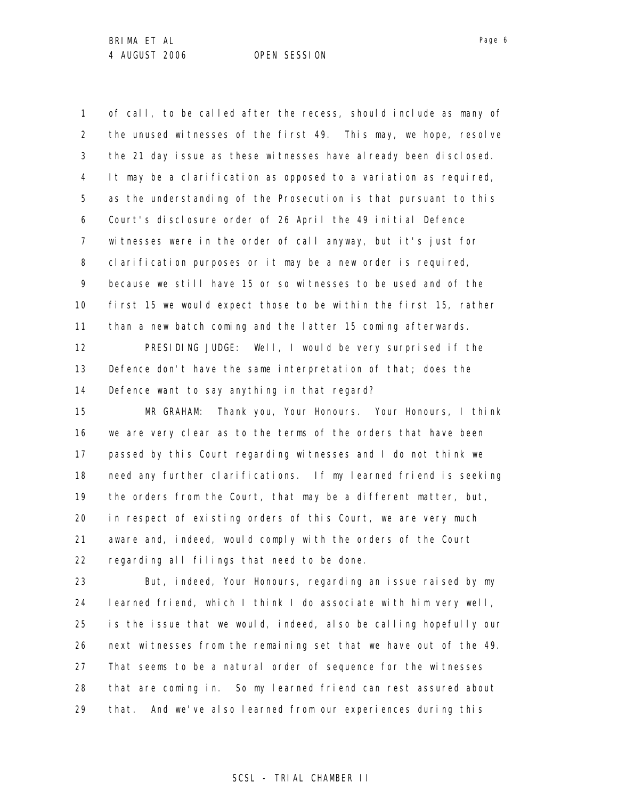1 2 3 4 5 6 7 8 9 10 11 of call, to be called after the recess, should include as many of the unused witnesses of the first 49. This may, we hope, resolve the 21 day issue as these witnesses have already been disclosed. It may be a clarification as opposed to a variation as required, as the understanding of the Prosecution is that pursuant to this Court's disclosure order of 26 April the 49 initial Defence witnesses were in the order of call anyway, but it's just for clarification purposes or it may be a new order is required, because we still have 15 or so witnesses to be used and of the first 15 we would expect those to be within the first 15, rather than a new batch coming and the latter 15 coming afterwards.

12 13 14 PRESIDING JUDGE: Well, I would be very surprised if the Defence don't have the same interpretation of that; does the Defence want to say anything in that regard?

15 16 17 18 19 20 21 22 MR GRAHAM: Thank you, Your Honours. Your Honours, I think we are very clear as to the terms of the orders that have been passed by this Court regarding witnesses and I do not think we need any further clarifications. If my learned friend is seeking the orders from the Court, that may be a different matter, but, in respect of existing orders of this Court, we are very much aware and, indeed, would comply with the orders of the Court regarding all filings that need to be done.

23 24 25 26 27 28 29 But, indeed, Your Honours, regarding an issue raised by my learned friend, which I think I do associate with him very well, is the issue that we would, indeed, also be calling hopefully our next witnesses from the remaining set that we have out of the 49. That seems to be a natural order of sequence for the witnesses that are coming in. So my learned friend can rest assured about that. And we've also learned from our experiences during this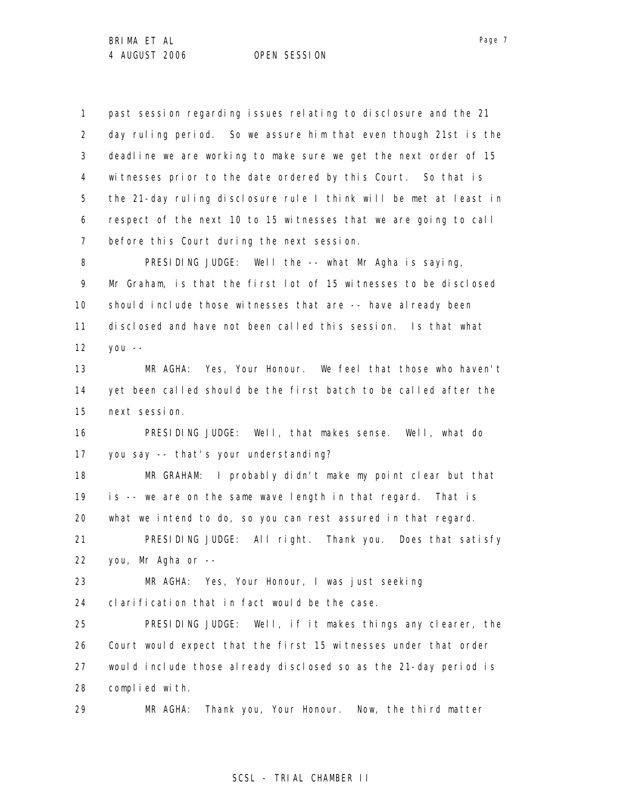1 2 3 4 5 6 7 past session regarding issues relating to disclosure and the 21 day ruling period. So we assure him that even though 21st is the deadline we are working to make sure we get the next order of 15 witnesses prior to the date ordered by this Court. So that is the 21-day ruling disclosure rule I think will be met at least in respect of the next 10 to 15 witnesses that we are going to call before this Court during the next session.

8 9 10 11 12 PRESIDING JUDGE: Well the -- what Mr Agha is saying, Mr Graham, is that the first lot of 15 witnesses to be disclosed should include those witnesses that are -- have already been disclosed and have not been called this session. Is that what you --

13 14 15 MR AGHA: Yes, Your Honour. We feel that those who haven't yet been called should be the first batch to be called after the next session.

16 17 PRESIDING JUDGE: Well, that makes sense. Well, what do you say -- that's your understanding?

18 19 20 21 MR GRAHAM: I probably didn't make my point clear but that is -- we are on the same wave length in that regard. That is what we intend to do, so you can rest assured in that regard. PRESIDING JUDGE: All right. Thank you. Does that satisfy

22 you, Mr Agha or --

23 24 MR AGHA: Yes, Your Honour, I was just seeking clarification that in fact would be the case.

25 26 27 28 PRESIDING JUDGE: Well, if it makes things any clearer, the Court would expect that the first 15 witnesses under that order would include those already disclosed so as the 21-day period is complied with.

29 MR AGHA: Thank you, Your Honour. Now, the third matter

# Page 7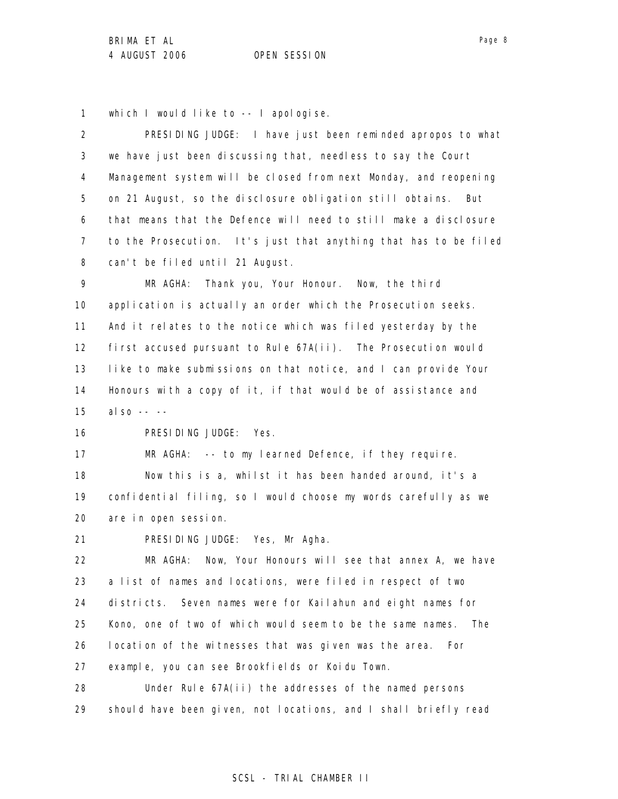1 which I would like to -- I apologise.

2 3 4 5 6 7 8 9 10 11 12 13 14 15 16 17 18 19 20 PRESIDING JUDGE: I have just been reminded apropos to what we have just been discussing that, needless to say the Court Management system will be closed from next Monday, and reopening on 21 August, so the disclosure obligation still obtains. But that means that the Defence will need to still make a disclosure to the Prosecution. It's just that anything that has to be filed can't be filed until 21 August. MR AGHA: Thank you, Your Honour. Now, the third application is actually an order which the Prosecution seeks. And it relates to the notice which was filed yesterday by the first accused pursuant to Rule 67A(ii). The Prosecution would like to make submissions on that notice, and I can provide Your Honours with a copy of it, if that would be of assistance and also -- -- PRESIDING JUDGE: Yes. MR AGHA: -- to my learned Defence, if they require. Now this is a, whilst it has been handed around, it's a confidential filing, so I would choose my words carefully as we are in open session.

21 PRESIDING JUDGE: Yes, Mr Agha.

22 23 24 25 26 27 28 MR AGHA: Now, Your Honours will see that annex A, we have a list of names and locations, were filed in respect of two districts. Seven names were for Kailahun and eight names for Kono, one of two of which would seem to be the same names. The location of the witnesses that was given was the area. For example, you can see Brookfields or Koidu Town. Under Rule 67A(ii) the addresses of the named persons

29 should have been given, not locations, and I shall briefly read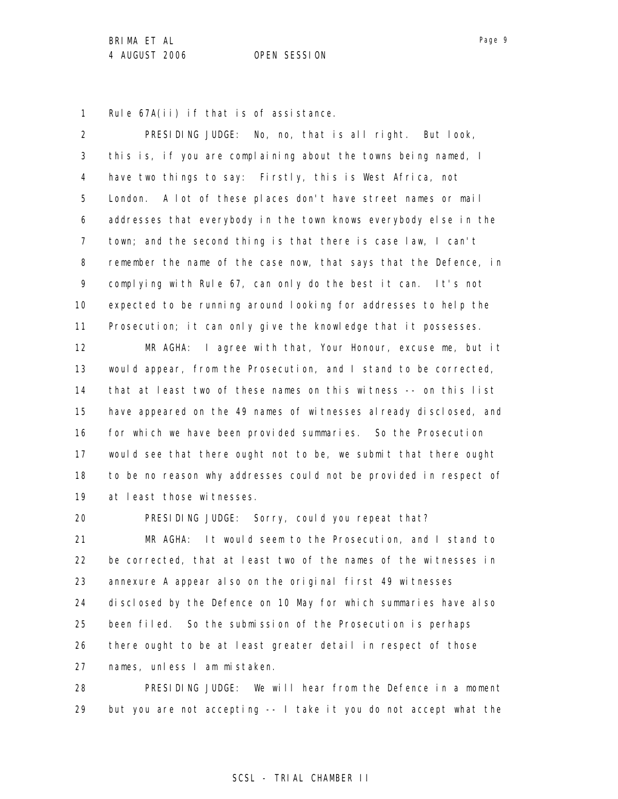1 Rule 67A(ii) if that is of assistance.

2 3 4 5 6 7 8 9 10 11 12 13 14 15 16 17 18 19 20 PRESIDING JUDGE: No, no, that is all right. But look, this is, if you are complaining about the towns being named, I have two things to say: Firstly, this is West Africa, not London. A lot of these places don't have street names or mail addresses that everybody in the town knows everybody else in the town; and the second thing is that there is case law, I can't remember the name of the case now, that says that the Defence, in complying with Rule 67, can only do the best it can. It's not expected to be running around looking for addresses to help the Prosecution; it can only give the knowledge that it possesses. MR AGHA: I agree with that, Your Honour, excuse me, but it would appear, from the Prosecution, and I stand to be corrected, that at least two of these names on this witness -- on this list have appeared on the 49 names of witnesses already disclosed, and for which we have been provided summaries. So the Prosecution would see that there ought not to be, we submit that there ought to be no reason why addresses could not be provided in respect of at least those witnesses. PRESIDING JUDGE: Sorry, could you repeat that?

21 22 23 24 25 26 27 MR AGHA: It would seem to the Prosecution, and I stand to be corrected, that at least two of the names of the witnesses in annexure A appear also on the original first 49 witnesses disclosed by the Defence on 10 May for which summaries have also been filed. So the submission of the Prosecution is perhaps there ought to be at least greater detail in respect of those names, unless I am mistaken.

28 29 PRESIDING JUDGE: We will hear from the Defence in a moment but you are not accepting -- I take it you do not accept what the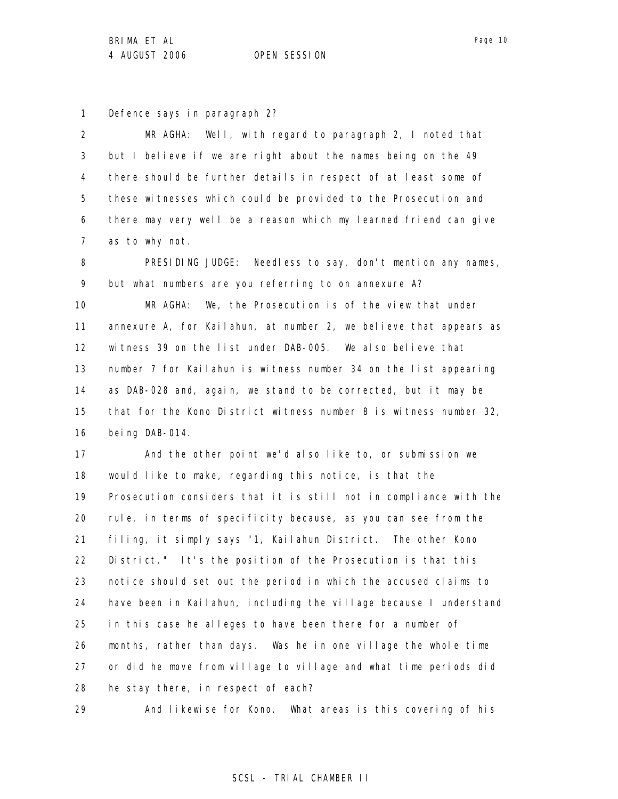1 Defence says in paragraph 2?

2 3 4 5 6 7 MR AGHA: Well, with regard to paragraph 2, I noted that but I believe if we are right about the names being on the 49 there should be further details in respect of at least some of these witnesses which could be provided to the Prosecution and there may very well be a reason which my learned friend can give as to why not.

8 9 PRESIDING JUDGE: Needless to say, don't mention any names, but what numbers are you referring to on annexure A?

10 11 12 13 14 15 16 MR AGHA: We, the Prosecution is of the view that under annexure A, for Kailahun, at number 2, we believe that appears as witness 39 on the list under DAB-005. We also believe that number 7 for Kailahun is witness number 34 on the list appearing as DAB-028 and, again, we stand to be corrected, but it may be that for the Kono District witness number 8 is witness number 32, being DAB-014.

17 18 19 20 21 22 23 24 25 26 27 28 And the other point we'd also like to, or submission we would like to make, regarding this notice, is that the Prosecution considers that it is still not in compliance with the rule, in terms of specificity because, as you can see from the filing, it simply says "1, Kailahun District. The other Kono District." It's the position of the Prosecution is that this notice should set out the period in which the accused claims to have been in Kailahun, including the village because I understand in this case he alleges to have been there for a number of months, rather than days. Was he in one village the whole time or did he move from village to village and what time periods did he stay there, in respect of each?

29

And likewise for Kono. What areas is this covering of his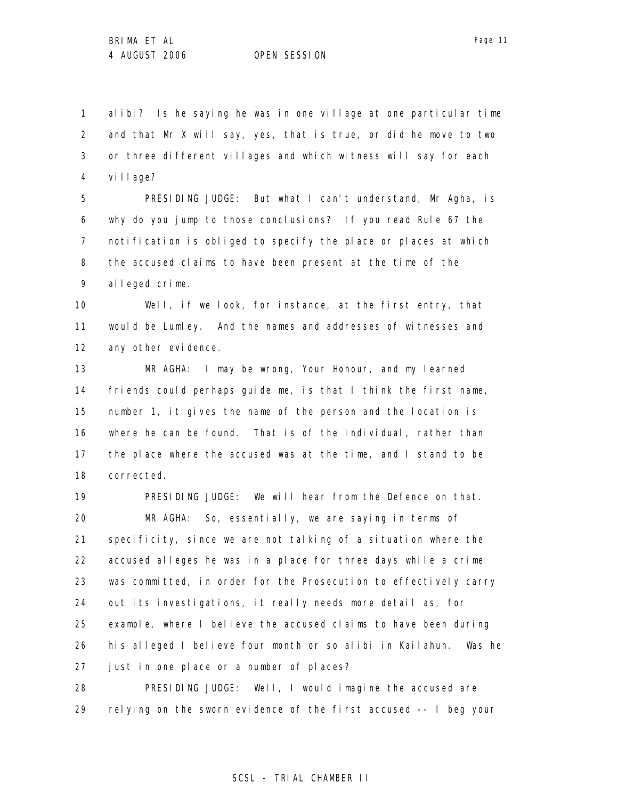1 2 3 4 alibi? Is he saying he was in one village at one particular time and that Mr X will say, yes, that is true, or did he move to two or three different villages and which witness will say for each village?

5 6 7 8 9 PRESIDING JUDGE: But what I can't understand, Mr Agha, is why do you jump to those conclusions? If you read Rule 67 the notification is obliged to specify the place or places at which the accused claims to have been present at the time of the alleged crime.

10 11 12 Well, if we look, for instance, at the first entry, that would be Lumley. And the names and addresses of witnesses and any other evidence.

13 14 15 16 17 18 MR AGHA: I may be wrong, Your Honour, and my learned friends could perhaps guide me, is that I think the first name, number 1, it gives the name of the person and the location is where he can be found. That is of the individual, rather than the place where the accused was at the time, and I stand to be corrected.

19 20 21 22 23 24 25 26 27 PRESIDING JUDGE: We will hear from the Defence on that. MR AGHA: So, essentially, we are saying in terms of specificity, since we are not talking of a situation where the accused alleges he was in a place for three days while a crime was committed, in order for the Prosecution to effectively carry out its investigations, it really needs more detail as, for example, where I believe the accused claims to have been during his alleged I believe four month or so alibi in Kailahun. Was he just in one place or a number of places?

28 29 PRESIDING JUDGE: Well, I would imagine the accused are relying on the sworn evidence of the first accused -- I beg your

Page 11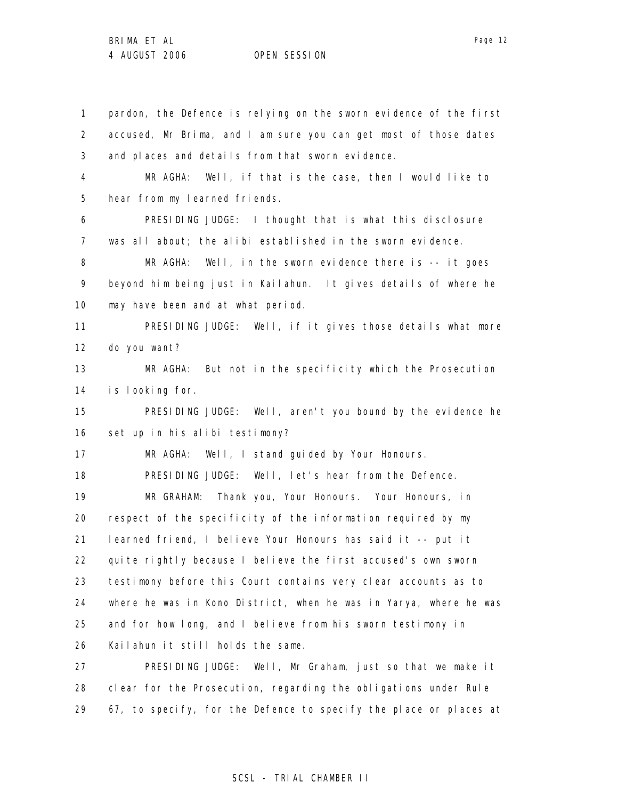Page 12

1 2 3 4 5 6 7 8 9 10 11 12 13 14 15 16 17 18 19 20 21 22 23 24 25 26 27 pardon, the Defence is relying on the sworn evidence of the first accused, Mr Brima, and I am sure you can get most of those dates and places and details from that sworn evidence. MR AGHA: Well, if that is the case, then I would like to hear from my learned friends. PRESIDING JUDGE: I thought that is what this disclosure was all about; the alibi established in the sworn evidence. MR AGHA: Well, in the sworn evidence there is -- it goes beyond him being just in Kailahun. It gives details of where he may have been and at what period. PRESIDING JUDGE: Well, if it gives those details what more do you want? MR AGHA: But not in the specificity which the Prosecution is looking for. PRESIDING JUDGE: Well, aren't you bound by the evidence he set up in his alibi testimony? MR AGHA: Well, I stand guided by Your Honours. PRESIDING JUDGE: Well, let's hear from the Defence. MR GRAHAM: Thank you, Your Honours. Your Honours, in respect of the specificity of the information required by my learned friend, I believe Your Honours has said it -- put it quite rightly because I believe the first accused's own sworn testimony before this Court contains very clear accounts as to where he was in Kono District, when he was in Yarya, where he was and for how long, and I believe from his sworn testimony in Kailahun it still holds the same. PRESIDING JUDGE: Well, Mr Graham, just so that we make it

28 29 clear for the Prosecution, regarding the obligations under Rule 67, to specify, for the Defence to specify the place or places at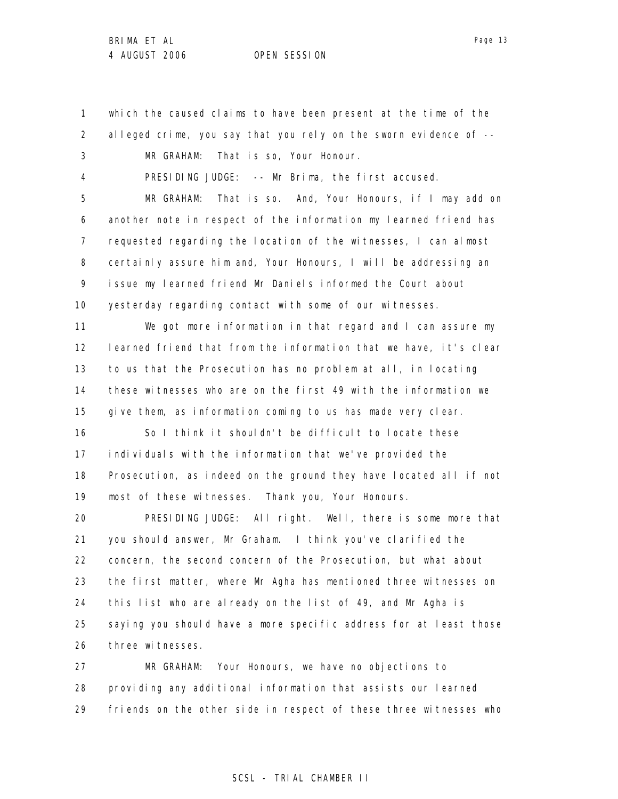1 2 3 4 5 6 7 8 9 10 11 12 13 14 15 16 17 18 19 20 21 22 23 24 25 26 27 which the caused claims to have been present at the time of the alleged crime, you say that you rely on the sworn evidence of -- MR GRAHAM: That is so, Your Honour. PRESIDING JUDGE: -- Mr Brima, the first accused. MR GRAHAM: That is so. And, Your Honours, if I may add on another note in respect of the information my learned friend has requested regarding the location of the witnesses, I can almost certainly assure him and, Your Honours, I will be addressing an issue my learned friend Mr Daniels informed the Court about yesterday regarding contact with some of our witnesses. We got more information in that regard and I can assure my learned friend that from the information that we have, it's clear to us that the Prosecution has no problem at all, in locating these witnesses who are on the first 49 with the information we give them, as information coming to us has made very clear. So I think it shouldn't be difficult to locate these individuals with the information that we've provided the Prosecution, as indeed on the ground they have located all if not most of these witnesses. Thank you, Your Honours. PRESIDING JUDGE: All right. Well, there is some more that you should answer, Mr Graham. I think you've clarified the concern, the second concern of the Prosecution, but what about the first matter, where Mr Agha has mentioned three witnesses on this list who are already on the list of 49, and Mr Agha is saying you should have a more specific address for at least those three witnesses. MR GRAHAM: Your Honours, we have no objections to

28 29 providing any additional information that assists our learned friends on the other side in respect of these three witnesses who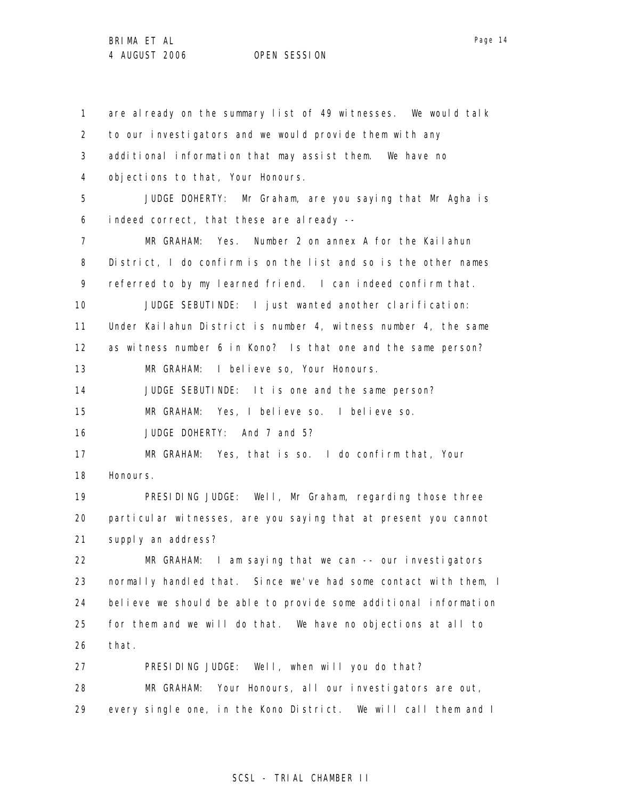1 2 3 4 5 6 7 8 9 10 11 12 13 14 15 16 17 18 19 20 21 22 23 24 25 26 27 28 29 are already on the summary list of 49 witnesses. We would talk to our investigators and we would provide them with any additional information that may assist them. We have no objections to that, Your Honours. JUDGE DOHERTY: Mr Graham, are you saying that Mr Agha is indeed correct, that these are already --MR GRAHAM: Yes. Number 2 on annex A for the Kailahun District, I do confirm is on the list and so is the other names referred to by my learned friend. I can indeed confirm that. JUDGE SEBUTINDE: I just wanted another clarification: Under Kailahun District is number 4, witness number 4, the same as witness number 6 in Kono? Is that one and the same person? MR GRAHAM: I believe so, Your Honours. JUDGE SEBUTINDE: It is one and the same person? MR GRAHAM: Yes, I believe so. I believe so. JUDGE DOHERTY: And 7 and 5? MR GRAHAM: Yes, that is so. I do confirm that, Your Honours. PRESIDING JUDGE: Well, Mr Graham, regarding those three particular witnesses, are you saying that at present you cannot supply an address? MR GRAHAM: I am saying that we can -- our investigators normally handled that. Since we've had some contact with them, I believe we should be able to provide some additional information for them and we will do that. We have no objections at all to that. PRESIDING JUDGE: Well, when will you do that? MR GRAHAM: Your Honours, all our investigators are out, every single one, in the Kono District. We will call them and I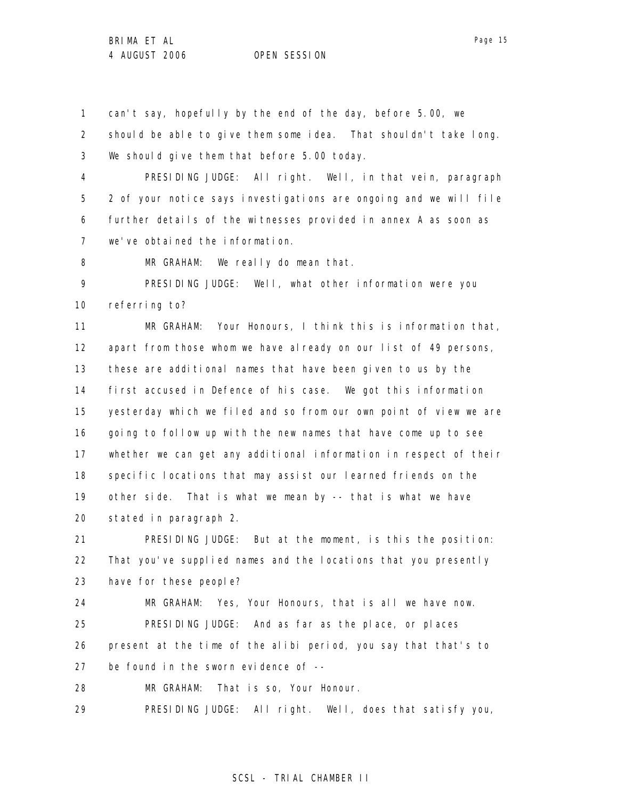1 can't say, hopefully by the end of the day, before 5.00, we

2 3 should be able to give them some idea. That shouldn't take long. We should give them that before 5.00 today.

4 5 6 7 PRESIDING JUDGE: All right. Well, in that vein, paragraph 2 of your notice says investigations are ongoing and we will file further details of the witnesses provided in annex A as soon as we've obtained the information.

8 MR GRAHAM: We really do mean that.

9 10 PRESIDING JUDGE: Well, what other information were you referring to?

11 12 13 14 15 16 17 18 19 20 MR GRAHAM: Your Honours, I think this is information that, apart from those whom we have already on our list of 49 persons, these are additional names that have been given to us by the first accused in Defence of his case. We got this information yesterday which we filed and so from our own point of view we are going to follow up with the new names that have come up to see whether we can get any additional information in respect of their specific locations that may assist our learned friends on the other side. That is what we mean by -- that is what we have stated in paragraph 2.

21 22 23 PRESIDING JUDGE: But at the moment, is this the position: That you've supplied names and the locations that you presently have for these people?

24 25 26 27 MR GRAHAM: Yes, Your Honours, that is all we have now. PRESIDING JUDGE: And as far as the place, or places present at the time of the alibi period, you say that that's to be found in the sworn evidence of --

28 MR GRAHAM: That is so, Your Honour.

29 PRESIDING JUDGE: All right. Well, does that satisfy you,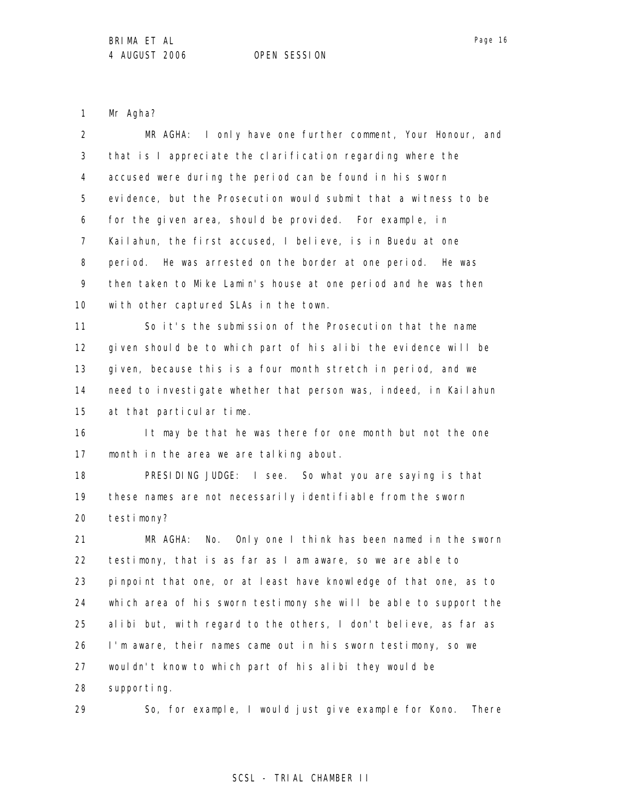1 Mr Agha?

| $\overline{2}$ | MR AGHA: I only have one further comment, Your Honour, and        |
|----------------|-------------------------------------------------------------------|
| 3              | that is I appreciate the clarification regarding where the        |
| 4              | accused were during the period can be found in his sworn          |
| 5              | evidence, but the Prosecution would submit that a witness to be   |
| 6              | for the given area, should be provided. For example, in           |
| 7              | Kailahun, the first accused, I believe, is in Buedu at one        |
| 8              | period. He was arrested on the border at one period. He was       |
| 9              | then taken to Mike Lamin's house at one period and he was then    |
| 10             | with other captured SLAs in the town.                             |
| 11             | So it's the submission of the Prosecution that the name           |
| 12             | given should be to which part of his alibi the evidence will be   |
| 13             | given, because this is a four month stretch in period, and we     |
| 14             | need to investigate whether that person was, indeed, in Kailahun  |
| 15             | at that particular time.                                          |
| 16             | It may be that he was there for one month but not the one         |
| 17             | month in the area we are talking about.                           |
| 18             | PRESIDING JUDGE: I see. So what you are saying is that            |
| 19             | these names are not necessarily identifiable from the sworn       |
| 20             | testimony?                                                        |
| 21             | MR AGHA:<br>No. Only one I think has been named in the sworn      |
| 22             | testimony, that is as far as I am aware, so we are able to        |
| 23             | pinpoint that one, or at least have knowledge of that one, as to  |
| 24             | which area of his sworn testimony she will be able to support the |
| 25             | alibi but, with regard to the others, I don't believe, as far as  |
| 26             | I'm aware, their names came out in his sworn testimony, so we     |
| 27             | wouldn't know to which part of his alibi they would be            |
| 28             | supporting.                                                       |
| 29             | So, for example, I would just give example for Kono. There        |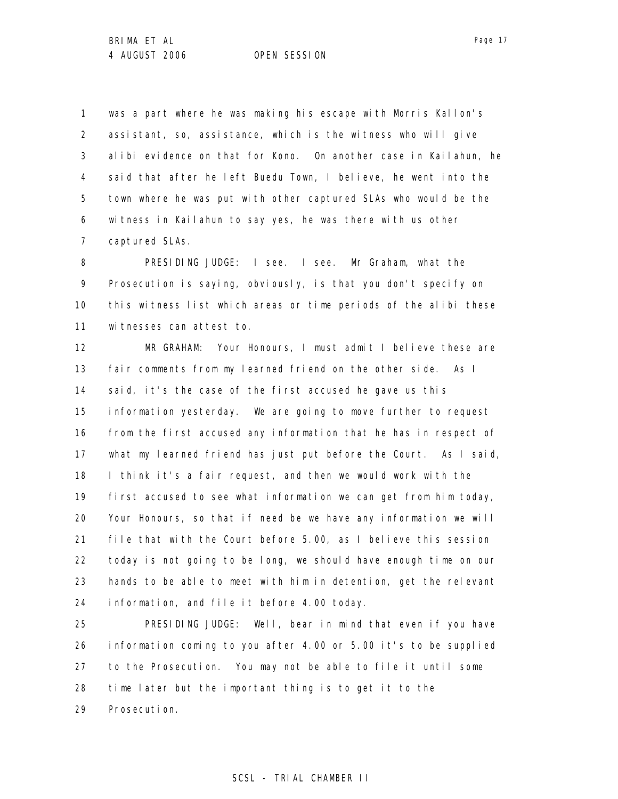1 2 3 4 5 6 7 was a part where he was making his escape with Morris Kallon's assistant, so, assistance, which is the witness who will give alibi evidence on that for Kono. On another case in Kailahun, he said that after he left Buedu Town, I believe, he went into the town where he was put with other captured SLAs who would be the witness in Kailahun to say yes, he was there with us other captured SLAs.

8 9 10 11 PRESIDING JUDGE: I see. I see. Mr Graham, what the Prosecution is saying, obviously, is that you don't specify on this witness list which areas or time periods of the alibi these witnesses can attest to.

12 13 14 15 16 17 18 19 20 21 22 23 24 MR GRAHAM: Your Honours, I must admit I believe these are fair comments from my learned friend on the other side. As I said, it's the case of the first accused he gave us this information yesterday. We are going to move further to request from the first accused any information that he has in respect of what my learned friend has just put before the Court. As I said, I think it's a fair request, and then we would work with the first accused to see what information we can get from him today, Your Honours, so that if need be we have any information we will file that with the Court before 5.00, as I believe this session today is not going to be long, we should have enough time on our hands to be able to meet with him in detention, get the relevant information, and file it before 4.00 today.

25 26 27 28 29 PRESIDING JUDGE: Well, bear in mind that even if you have information coming to you after 4.00 or 5.00 it's to be supplied to the Prosecution. You may not be able to file it until some time later but the important thing is to get it to the Prosecution.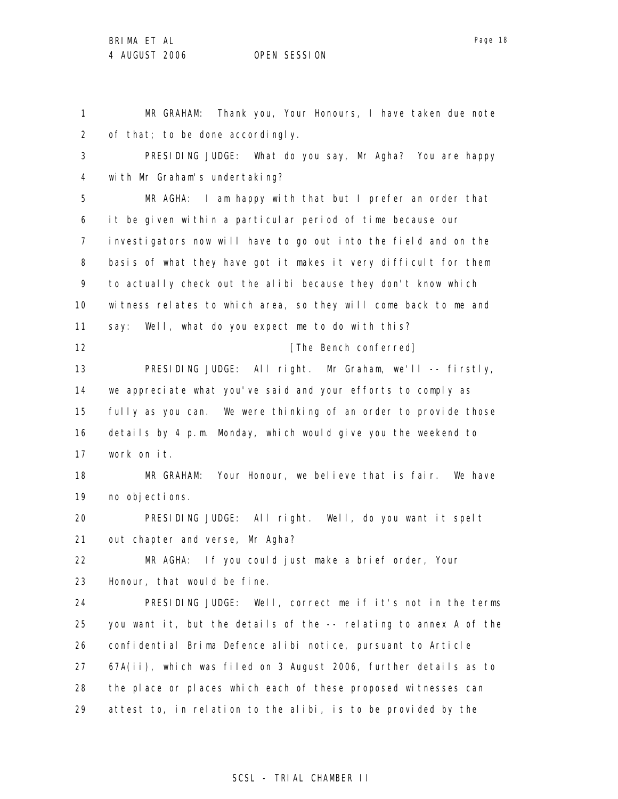Page 18

1 2 3 4 5 6 7 8 9 10 11 12 13 14 15 16 17 18 19 20 21 22 23 24 25 26 27 28 29 MR GRAHAM: Thank you, Your Honours, I have taken due note of that; to be done accordingly. PRESIDING JUDGE: What do you say, Mr Agha? You are happy with Mr Graham's undertaking? MR AGHA: I am happy with that but I prefer an order that it be given within a particular period of time because our investigators now will have to go out into the field and on the basis of what they have got it makes it very difficult for them to actually check out the alibi because they don't know which witness relates to which area, so they will come back to me and say: Well, what do you expect me to do with this? [The Bench conferred] PRESIDING JUDGE: All right. Mr Graham, we'll -- firstly, we appreciate what you've said and your efforts to comply as fully as you can. We were thinking of an order to provide those details by 4 p.m. Monday, which would give you the weekend to work on it. MR GRAHAM: Your Honour, we believe that is fair. We have no objections. PRESIDING JUDGE: All right. Well, do you want it spelt out chapter and verse, Mr Agha? MR AGHA: If you could just make a brief order, Your Honour, that would be fine. PRESIDING JUDGE: Well, correct me if it's not in the terms you want it, but the details of the -- relating to annex A of the confidential Brima Defence alibi notice, pursuant to Article 67A(ii), which was filed on 3 August 2006, further details as to the place or places which each of these proposed witnesses can attest to, in relation to the alibi, is to be provided by the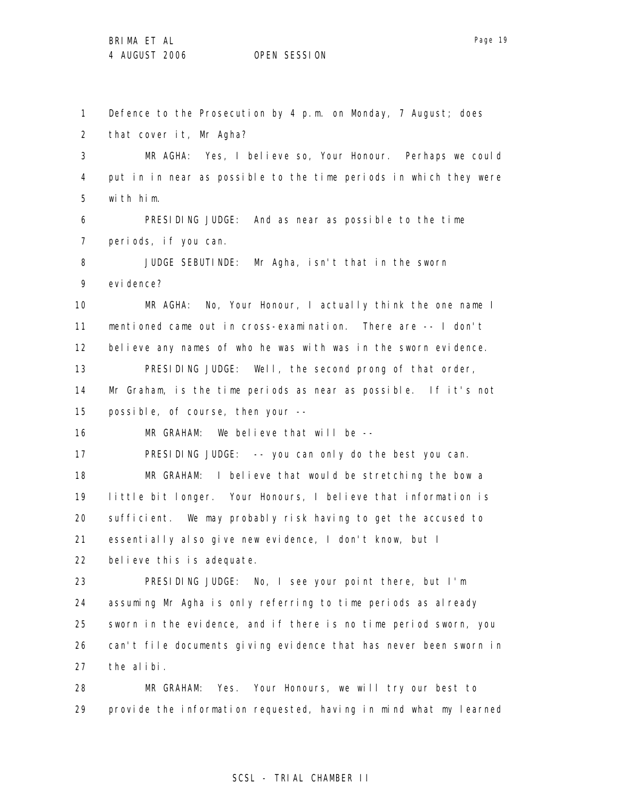1 2 3 4 5 6 7 8 9 10 11 12 13 14 15 16 17 18 19 20 21 22 23 24 25 26 27 28 29 Defence to the Prosecution by 4 p.m. on Monday, 7 August; does that cover it, Mr Agha? MR AGHA: Yes, I believe so, Your Honour. Perhaps we could put in in near as possible to the time periods in which they were with him. PRESIDING JUDGE: And as near as possible to the time periods, if you can. JUDGE SEBUTINDE: Mr Agha, isn't that in the sworn evi dence? MR AGHA: No, Your Honour, I actually think the one name I mentioned came out in cross-examination. There are -- I don't believe any names of who he was with was in the sworn evidence. PRESIDING JUDGE: Well, the second prong of that order, Mr Graham, is the time periods as near as possible. If it's not possible, of course, then your -- MR GRAHAM: We believe that will be -- PRESIDING JUDGE: -- you can only do the best you can. MR GRAHAM: I believe that would be stretching the bow a little bit longer. Your Honours, I believe that information is sufficient. We may probably risk having to get the accused to essentially also give new evidence, I don't know, but I believe this is adequate. PRESIDING JUDGE: No, I see your point there, but I'm assuming Mr Agha is only referring to time periods as already sworn in the evidence, and if there is no time period sworn, you can't file documents giving evidence that has never been sworn in the alibi. MR GRAHAM: Yes. Your Honours, we will try our best to provide the information requested, having in mind what my learned

# SCSL - TRIAL CHAMBER II

Page 19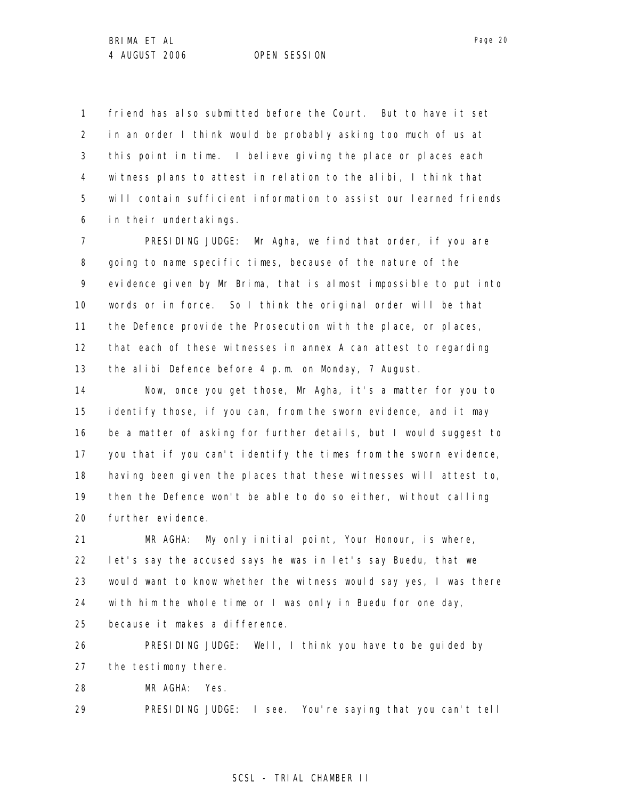1 2 3 4 5 6 friend has also submitted before the Court. But to have it set in an order I think would be probably asking too much of us at this point in time. I believe giving the place or places each witness plans to attest in relation to the alibi, I think that will contain sufficient information to assist our learned friends in their undertakings.

7 8 9 10 11 12 13 PRESIDING JUDGE: Mr Agha, we find that order, if you are going to name specific times, because of the nature of the evidence given by Mr Brima, that is almost impossible to put into words or in force. So I think the original order will be that the Defence provide the Prosecution with the place, or places, that each of these witnesses in annex A can attest to regarding the alibi Defence before 4 p.m. on Monday, 7 August.

14 15 16 17 18 19 20 Now, once you get those, Mr Agha, it's a matter for you to identify those, if you can, from the sworn evidence, and it may be a matter of asking for further details, but I would suggest to you that if you can't identify the times from the sworn evidence, having been given the places that these witnesses will attest to, then the Defence won't be able to do so either, without calling further evidence.

21 22 23 24 25 MR AGHA: My only initial point, Your Honour, is where, let's say the accused says he was in let's say Buedu, that we would want to know whether the witness would say yes, I was there with him the whole time or I was only in Buedu for one day, because it makes a difference.

26 27 PRESIDING JUDGE: Well, I think you have to be guided by the testimony there.

28 MR AGHA: Yes.

29 PRESIDING JUDGE: I see. You're saying that you can't tell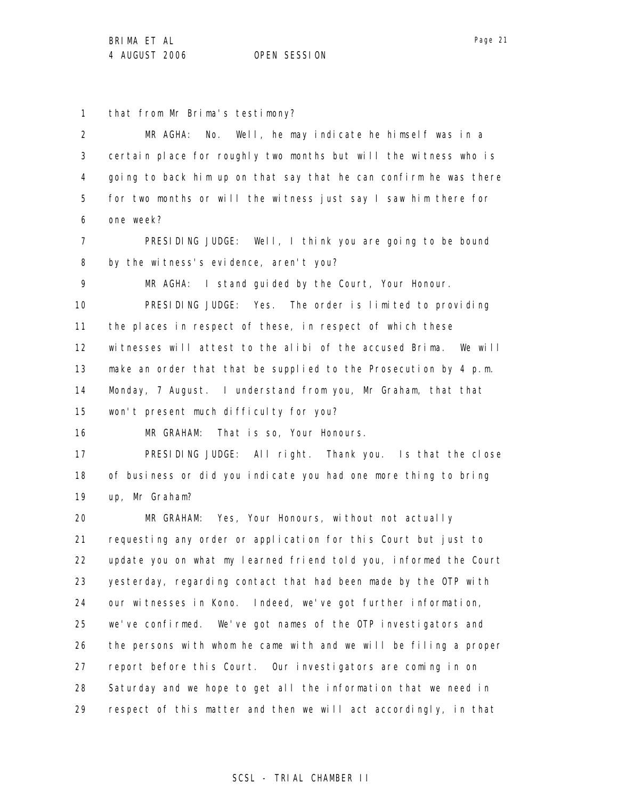1 that from Mr Brima's testimony?

2 3 4 5 6 MR AGHA: No. Well, he may indicate he himself was in a certain place for roughly two months but will the witness who is going to back him up on that say that he can confirm he was there for two months or will the witness just say I saw him there for one week?

7 8 PRESIDING JUDGE: Well, I think you are going to be bound by the witness's evidence, aren't you?

9 MR AGHA: I stand quided by the Court, Your Honour.

10 11 12 13 14 15 PRESIDING JUDGE: Yes. The order is limited to providing the places in respect of these, in respect of which these witnesses will attest to the alibi of the accused Brima. We will make an order that that be supplied to the Prosecution by 4 p.m. Monday, 7 August. I understand from you, Mr Graham, that that won't present much difficulty for you?

16 MR GRAHAM: That is so, Your Honours.

17 18 19 PRESIDING JUDGE: All right. Thank you. Is that the close of business or did you indicate you had one more thing to bring up, Mr Graham?

20 21 22 23 24 25 26 27 28 29 MR GRAHAM: Yes, Your Honours, without not actually requesting any order or application for this Court but just to update you on what my learned friend told you, informed the Court yesterday, regarding contact that had been made by the OTP with our witnesses in Kono. Indeed, we've got further information, we've confirmed. We've got names of the OTP investigators and the persons with whom he came with and we will be filing a proper report before this Court. Our investigators are coming in on Saturday and we hope to get all the information that we need in respect of this matter and then we will act accordingly, in that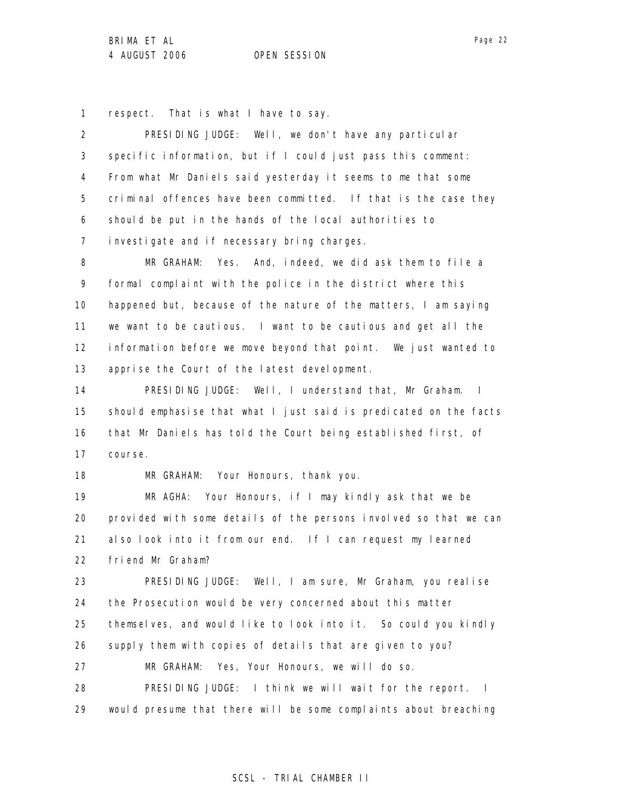1 respect. That is what I have to say.

2 3 4 5 6 7 PRESIDING JUDGE: Well, we don't have any particular specific information, but if I could just pass this comment: From what Mr Daniels said yesterday it seems to me that some criminal offences have been committed. If that is the case they should be put in the hands of the local authorities to investigate and if necessary bring charges.

8 9 10 11 12 13 MR GRAHAM: Yes. And, indeed, we did ask them to file a formal complaint with the police in the district where this happened but, because of the nature of the matters, I am saying we want to be cautious. I want to be cautious and get all the information before we move beyond that point. We just wanted to apprise the Court of the latest development.

14 15 16 17 PRESIDING JUDGE: Well, I understand that, Mr Graham. I should emphasise that what I just said is predicated on the facts that Mr Daniels has told the Court being established first, of course.

MR GRAHAM: Your Honours, thank you.

18

19 20 21 22 MR AGHA: Your Honours, if I may kindly ask that we be provided with some details of the persons involved so that we can also look into it from our end. If I can request my learned friend Mr Graham?

23 24 25 26 27 28 29 PRESIDING JUDGE: Well, I am sure, Mr Graham, you realise the Prosecution would be very concerned about this matter themselves, and would like to look into it. So could you kindly supply them with copies of details that are given to you? MR GRAHAM: Yes, Your Honours, we will do so. PRESIDING JUDGE: I think we will wait for the report. I would presume that there will be some complaints about breaching

Page 22